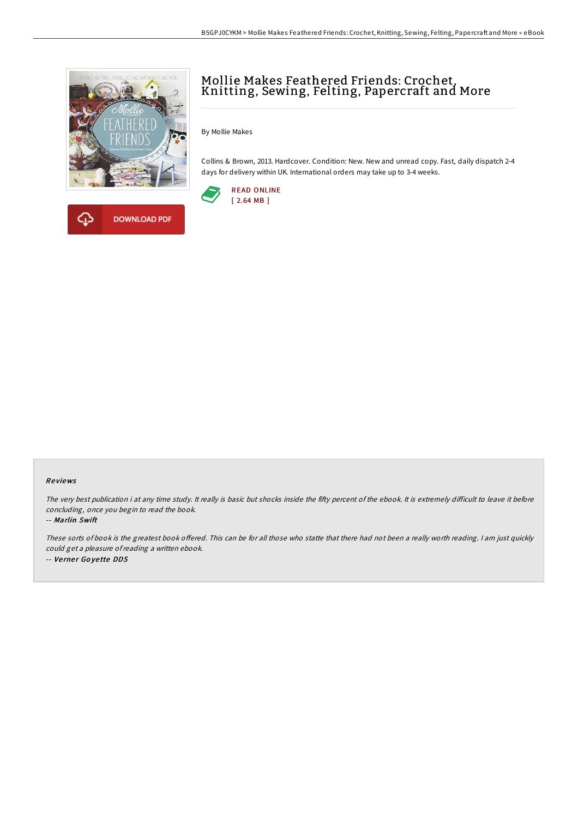

**DOWNLOAD PDF** 



By Mollie Makes

Collins & Brown, 2013. Hardcover. Condition: New. New and unread copy. Fast, daily dispatch 2-4 days for delivery within UK. International orders may take up to 3-4 weeks.





The very best publication i at any time study. It really is basic but shocks inside the fifty percent of the ebook. It is extremely difficult to leave it before concluding, once you begin to read the book.

-- Marlin Swift

These sorts of book is the greatest book offered. This can be for all those who statte that there had not been a really worth reading. I am just quickly could get <sup>a</sup> pleasure ofreading <sup>a</sup> written ebook. -- Verner Goyette DDS